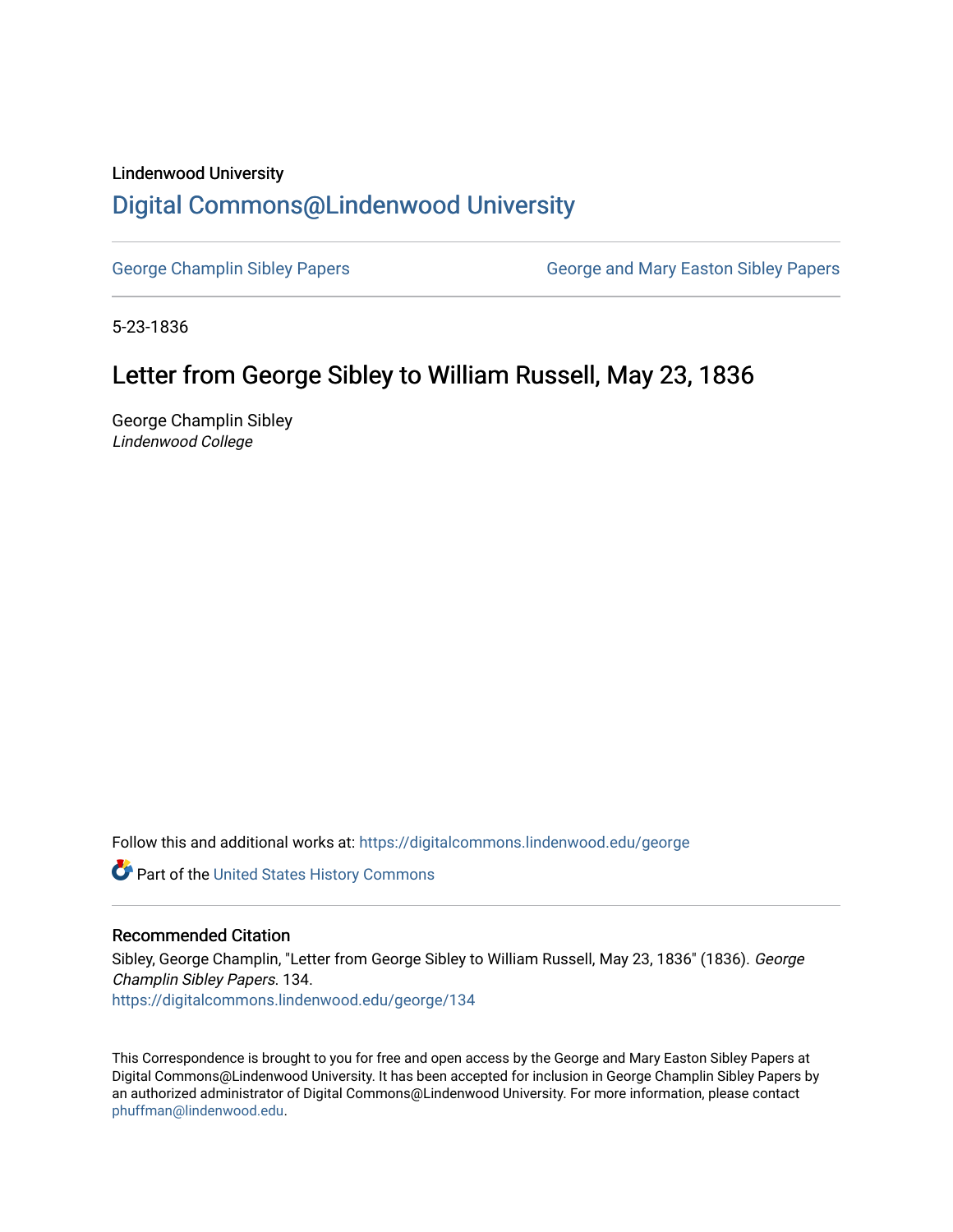### Lindenwood University

# [Digital Commons@Lindenwood University](https://digitalcommons.lindenwood.edu/)

[George Champlin Sibley Papers](https://digitalcommons.lindenwood.edu/george) George and Mary Easton Sibley Papers

5-23-1836

# Letter from George Sibley to William Russell, May 23, 1836

George Champlin Sibley Lindenwood College

Follow this and additional works at: [https://digitalcommons.lindenwood.edu/george](https://digitalcommons.lindenwood.edu/george?utm_source=digitalcommons.lindenwood.edu%2Fgeorge%2F134&utm_medium=PDF&utm_campaign=PDFCoverPages)

Part of the [United States History Commons](http://network.bepress.com/hgg/discipline/495?utm_source=digitalcommons.lindenwood.edu%2Fgeorge%2F134&utm_medium=PDF&utm_campaign=PDFCoverPages) 

### Recommended Citation

Sibley, George Champlin, "Letter from George Sibley to William Russell, May 23, 1836" (1836). George Champlin Sibley Papers. 134. [https://digitalcommons.lindenwood.edu/george/134](https://digitalcommons.lindenwood.edu/george/134?utm_source=digitalcommons.lindenwood.edu%2Fgeorge%2F134&utm_medium=PDF&utm_campaign=PDFCoverPages)

This Correspondence is brought to you for free and open access by the George and Mary Easton Sibley Papers at Digital Commons@Lindenwood University. It has been accepted for inclusion in George Champlin Sibley Papers by an authorized administrator of Digital Commons@Lindenwood University. For more information, please contact [phuffman@lindenwood.edu](mailto:phuffman@lindenwood.edu).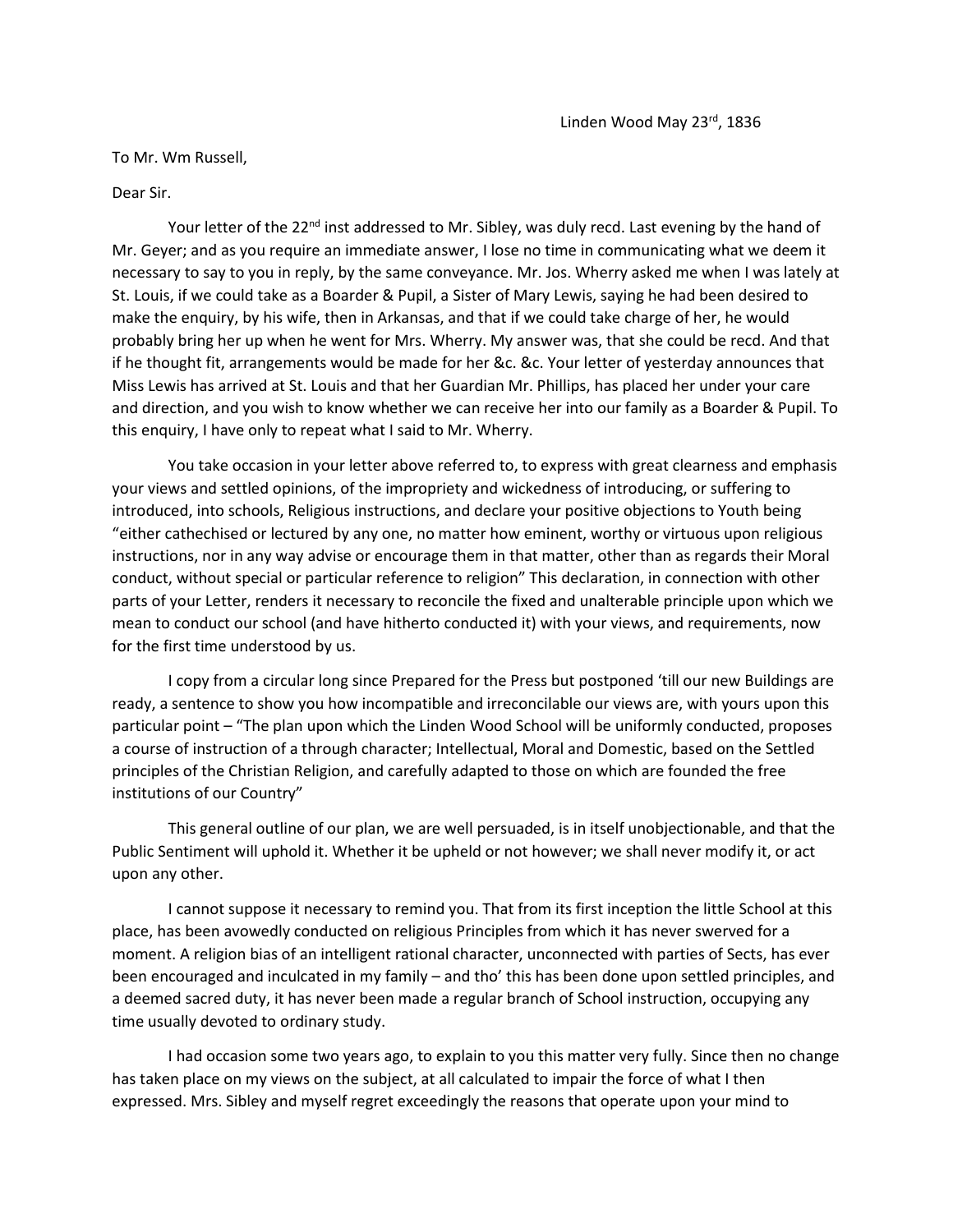#### To Mr. Wm Russell,

#### Dear Sir.

Your letter of the 22<sup>nd</sup> inst addressed to Mr. Sibley, was duly recd. Last evening by the hand of Mr. Geyer; and as you require an immediate answer, I lose no time in communicating what we deem it necessary to say to you in reply, by the same conveyance. Mr. Jos. Wherry asked me when I was lately at St. Louis, if we could take as a Boarder & Pupil, a Sister of Mary Lewis, saying he had been desired to make the enquiry, by his wife, then in Arkansas, and that if we could take charge of her, he would probably bring her up when he went for Mrs. Wherry. My answer was, that she could be recd. And that if he thought fit, arrangements would be made for her &c. &c. Your letter of yesterday announces that Miss Lewis has arrived at St. Louis and that her Guardian Mr. Phillips, has placed her under your care and direction, and you wish to know whether we can receive her into our family as a Boarder & Pupil. To this enquiry, I have only to repeat what I said to Mr. Wherry.

You take occasion in your letter above referred to, to express with great clearness and emphasis your views and settled opinions, of the impropriety and wickedness of introducing, or suffering to introduced, into schools, Religious instructions, and declare your positive objections to Youth being "either cathechised or lectured by any one, no matter how eminent, worthy or virtuous upon religious instructions, nor in any way advise or encourage them in that matter, other than as regards their Moral conduct, without special or particular reference to religion" This declaration, in connection with other parts of your Letter, renders it necessary to reconcile the fixed and unalterable principle upon which we mean to conduct our school (and have hitherto conducted it) with your views, and requirements, now for the first time understood by us.

I copy from a circular long since Prepared for the Press but postponed 'till our new Buildings are ready, a sentence to show you how incompatible and irreconcilable our views are, with yours upon this particular point – "The plan upon which the Linden Wood School will be uniformly conducted, proposes a course of instruction of a through character; Intellectual, Moral and Domestic, based on the Settled principles of the Christian Religion, and carefully adapted to those on which are founded the free institutions of our Country"

This general outline of our plan, we are well persuaded, is in itself unobjectionable, and that the Public Sentiment will uphold it. Whether it be upheld or not however; we shall never modify it, or act upon any other.

I cannot suppose it necessary to remind you. That from its first inception the little School at this place, has been avowedly conducted on religious Principles from which it has never swerved for a moment. A religion bias of an intelligent rational character, unconnected with parties of Sects, has ever been encouraged and inculcated in my family – and tho' this has been done upon settled principles, and a deemed sacred duty, it has never been made a regular branch of School instruction, occupying any time usually devoted to ordinary study.

I had occasion some two years ago, to explain to you this matter very fully. Since then no change has taken place on my views on the subject, at all calculated to impair the force of what I then expressed. Mrs. Sibley and myself regret exceedingly the reasons that operate upon your mind to